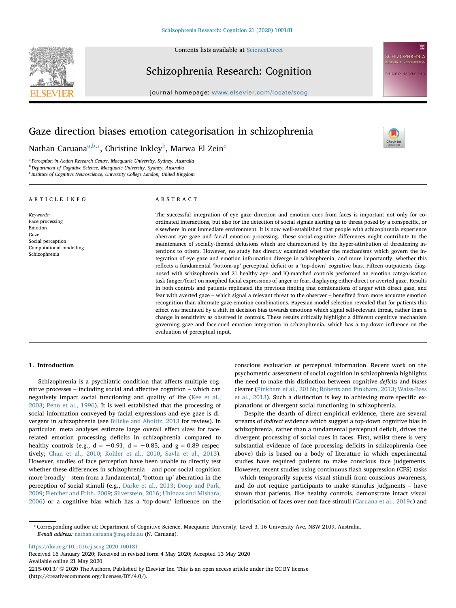

Contents lists available at [ScienceDirect](http://www.sciencedirect.com/science/journal/22150013)

# Schizophrenia Research: Cognition



# Gaze direction biases emotion categorisation in schizophrenia

N[a](#page-0-0)than Caruana $^{\mathrm{a,b},*}$  $^{\mathrm{a,b},*}$  $^{\mathrm{a,b},*}$ , Christine Inkley $^{\mathrm{b}}$ , Marwa El Zein $^{\mathrm{c}}$ 

<span id="page-0-0"></span><sup>a</sup> Perception in Action Research Centre, Macquarie University, Sydney, Australia

<span id="page-0-1"></span>**b** Department of Cognitive Science, Macquarie University, Sydney, Australia

<span id="page-0-3"></span><sup>c</sup> Institute of Cognitive Neuroscience, University College London, United Kingdom

# ARTICLE INFO Keywords: Face processing Emotion Gaze Social perception Computational modelling Schizophrenia ABSTRACT

The successful integration of eye gaze direction and emotion cues from faces is important not only for coordinated interactions, but also for the detection of social signals alerting us to threat posed by a conspecific, or elsewhere in our immediate environment. It is now well-established that people with schizophrenia experience aberrant eye gaze and facial emotion processing. These social-cognitive differences might contribute to the maintenance of socially-themed delusions which are characterised by the hyper-attribution of threatening intentions to others. However, no study has directly examined whether the mechanisms which govern the integration of eye gaze and emotion information diverge in schizophrenia, and more importantly, whether this reflects a fundamental 'bottom-up' perceptual deficit or a 'top-down' cognitive bias. Fifteen outpatients diagnosed with schizophrenia and 21 healthy age- and IQ-matched controls performed an emotion categorisation task (anger/fear) on morphed facial expressions of anger or fear, displaying either direct or averted gaze. Results in both controls and patients replicated the previous finding that combinations of anger with direct gaze, and fear with averted gaze – which signal a relevant threat to the observer – benefited from more accurate emotion recognition than alternate gaze-emotion combinations. Bayesian model selection revealed that for patients this effect was mediated by a shift in decision bias towards emotions which signal self-relevant threat, rather than a change in sensitivity as observed in controls. These results critically highlight a different cognitive mechanism governing gaze and face-cued emotion integration in schizophrenia, which has a top-down influence on the evaluation of perceptual input.

# 1. Introduction

Schizophrenia is a psychiatric condition that affects multiple cognitive processes – including social and affective cognition – which can negatively impact social functioning and quality of life [\(Kee et al.,](#page-6-0) [2003;](#page-6-0) [Penn et al., 1996\)](#page-6-1). It is well established that the processing of social information conveyed by facial expressions and eye gaze is divergent in schizophrenia (see [Billeke and Aboitiz, 2013](#page-5-0) for review). In particular, meta analyses estimate large overall effect sizes for facerelated emotion processing deficits in schizophrenia compared to healthy controls (e.g.,  $d = -0.91$ ,  $d = -0.85$ , and  $g = 0.89$  respectively; [Chan et al., 2010;](#page-5-1) [Kohler et al., 2010](#page-6-2); [Savla et al., 2013](#page-6-3)). However, studies of face perception have been unable to directly test whether these differences in schizophrenia – and poor social cognition more broadly – stem from a fundamental, 'bottom-up' aberration in the perception of social stimuli (e.g., [Darke et al., 2013;](#page-6-4) [Doop and Park,](#page-6-5) [2009;](#page-6-5) [Fletcher and Frith, 2009;](#page-6-6) [Silverstein, 2016](#page-6-7); [Uhlhaas and Mishara,](#page-6-8) [2006\)](#page-6-8) or a cognitive bias which has a 'top-down' influence on the conscious evaluation of perceptual information. Recent work on the psychometric assessment of social cognition in schizophrenia highlights the need to make this distinction between cognitive deficits and biases clearer ([Pinkham et al., 2016b](#page-6-9); [Roberts and Pinkham, 2013](#page-6-10); [Walss-Bass](#page-6-11) [et al., 2013](#page-6-11)). Such a distinction is key to achieving more specific explanations of divergent social functioning in schizophrenia.

Despite the dearth of direct empirical evidence, there are several streams of indirect evidence which suggest a top-down cognitive bias in schizophrenia, rather than a fundamental perceptual deficit, drives the divergent processing of social cues in faces. First, whilst there is very substantial evidence of face processing deficits in schizophrenia (see above) this is based on a body of literature in which experimental studies have required patients to make conscious face judgements. However, recent studies using continuous flash suppression (CFS) tasks – which temporarily supress visual stimuli from conscious awareness, and do not require participants to make stimulus judgments – have shown that patients, like healthy controls, demonstrate intact visual prioritisation of faces over non-face stimuli ([Caruana et al., 2019c](#page-5-2)) and

<span id="page-0-2"></span>⁎ Corresponding author at: Department of Cognitive Science, Macquarie University, Level 3, 16 University Ave, NSW 2109, Australia. E-mail address: [nathan.caruana@mq.edu.au](mailto:nathan.caruana@mq.edu.au) (N. Caruana).

<https://doi.org/10.1016/j.scog.2020.100181> Received 16 January 2020; Received in revised form 4 May 2020; Accepted 13 May 2020 Available online 21 May 2020 2215-0013/ © 2020 The Authors. Published by Elsevier Inc. This is an open access article under the CC BY license (http://creativecommons.org/licenses/BY/4.0/).  $\frac{N}{2}$ 

**HIZOPHRENIA** 

**PHILIP D. HARVEY, PH**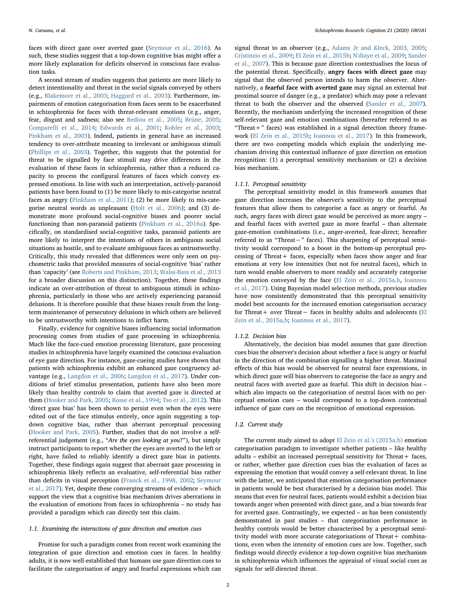faces with direct gaze over averted gaze ([Seymour et al., 2016](#page-6-12)). As such, these studies suggest that a top-down cognitive bias might offer a more likely explanation for deficits observed in conscious face evaluation tasks.

A second stream of studies suggests that patients are more likely to detect intentionality and threat in the social signals conveyed by others (e.g., [Blakemore et al., 2003;](#page-5-3) [Haggard et al., 2003](#page-6-13)). Furthermore, impairments of emotion categorisation from faces seem to be exacerbated in schizophrenia for faces with threat-relevant emotions (e.g., anger, fear, disgust and sadness; also see [Bediou et al., 2005](#page-5-4); [Brüne, 2005](#page-5-5); [Comparelli et al., 2014](#page-5-6); [Edwards et al., 2001;](#page-6-14) [Kohler et al., 2003](#page-6-15); [Pinkham et al., 2003](#page-6-16)). Indeed, patients in general have an increased tendency to over-attribute meaning to irrelevant or ambiguous stimuli ([Phillips et al., 2003](#page-6-17)). Together, this suggests that the potential for threat to be signalled by face stimuli may drive differences in the evaluation of these faces in schizophrenia, rather than a reduced capacity to process the configural features of faces which convey expressed emotions. In line with such an interpretation, actively-paranoid patients have been found to (1) be more likely to mis-categorise neutral faces as angry [\(Pinkham et al., 2011](#page-6-18)); (2) be more likely to mis-categorise neutral words as unpleasant ([Holt et al., 2006\)](#page-6-19); and (3) demonstrate more profound social-cognitive biases and poorer social functioning than non-paranoid patients ([Pinkham et al., 2016a](#page-6-20)). Specifically, on standardised social-cognitive tasks, paranoid patients are more likely to interpret the intentions of others in ambiguous social situations as hostile, and to evaluate ambiguous faces as untrustworthy. Critically, this study revealed that differences were only seen on psychometric tasks that provided measures of social-cognitive 'bias' rather than 'capacity' (see [Roberts and Pinkham, 2013;](#page-6-10) [Walss-Bass et al., 2013](#page-6-11) for a broader discussion on this distinction). Together, these findings indicate an over-attribution of threat to ambiguous stimuli in schizophrenia, particularly in those who are actively experiencing paranoid delusions. It is therefore possible that these biases result from the longterm maintenance of persecutory delusions in which others are believed to be untrustworthy with intentions to inflict harm.

Finally, evidence for cognitive biases influencing social information processing comes from studies of gaze processing in schizophrenia. Much like the face-cued emotion processing literature, gaze processing studies in schizophrenia have largely examined the conscious evaluation of eye gaze direction. For instance, gaze-cueing studies have shown that patients with schizophrenia exhibit an enhanced gaze congruency advantage (e.g., [Langdon et al., 2006](#page-6-21); [Langdon et al., 2017](#page-6-22)). Under conditions of brief stimulus presentation, patients have also been more likely than healthy controls to claim that averted gaze is directed at them ([Hooker and Park, 2005](#page-6-23); [Rosse et al., 1994](#page-6-24); [Tso et al., 2012](#page-6-25)). This 'direct gaze bias' has been shown to persist even when the eyes were edited out of the face stimulus entirely, once again suggesting a topdown cognitive bias, rather than aberrant perceptual processing ([Hooker and Park, 2005\)](#page-6-23). Further, studies that do not involve a selfreferential judgement (e.g., "Are the eyes looking at you?"), but simply instruct participants to report whether the eyes are averted to the left or right, have failed to reliably identify a direct gaze bias in patients. Together, these findings again suggest that aberrant gaze processing in schizophrenia likely reflects an evaluative, self-referential bias rather than deficits in visual perception [\(Franck et al., 1998, 2002;](#page-6-26) [Seymour](#page-6-27) [et al., 2017](#page-6-27)). Yet, despite these converging streams of evidence – which support the view that a cognitive bias mechanism drives aberrations in the evaluation of emotions from faces in schizophrenia – no study has provided a paradigm which can directly test this claim.

#### 1.1. Examining the interactions of gaze direction and emotion cues

Promise for such a paradigm comes from recent work examining the integration of gaze direction and emotion cues in faces. In healthy adults, it is now well-established that humans use gaze direction cues to facilitate the categorisation of angry and fearful expressions which can

signal threat to an observer (e.g., [Adams Jr and Kleck, 2003, 2005](#page-5-7); [Cristinzio et al., 2009](#page-5-8); [El Zein et al., 2015b;](#page-6-28) [N'diaye et al., 2009](#page-6-29); [Sander](#page-6-30) [et al., 2007](#page-6-30)). This is because gaze direction contextualises the locus of the potential threat. Specifically, angry faces with direct gaze may signal that the observed person intends to harm the observer. Alternatively, a fearful face with averted gaze may signal an external but proximal source of danger (e.g., a predator) which may pose a relevant threat to both the observer and the observed [\(Sander et al., 2007](#page-6-30)). Recently, the mechanism underlying the increased recognition of these self-relevant gaze and emotion combinations (hereafter referred to as "Threat  $+$ " faces) was established in a signal detection theory framework ([El Zein et al., 2015b;](#page-6-28) [Ioannou et al., 2017\)](#page-6-31). In this framework, there are two competing models which explain the underlying mechanism driving this contextual influence of gaze direction on emotion recognition: (1) a perceptual sensitivity mechanism or (2) a decision bias mechanism.

### 1.1.1. Perceptual sensitivity

The perceptual sensitivity model in this framework assumes that gaze direction increases the observer's sensitivity to the perceptual features that allow them to categorise a face as angry or fearful. As such, angry faces with direct gaze would be perceived as more angry – and fearful faces with averted gaze as more fearful – than alternate gaze-emotion combinations (i.e., anger-averted, fear-direct; hereafter referred to as "Threat−" faces). This sharpening of perceptual sensitivity would correspond to a boost in the bottom-up perceptual processing of Threat + faces, especially when faces show anger and fear emotions at very low intensities (but not for neutral faces), which in turn would enable observers to more readily and accurately categorise the emotion conveyed by the face [\(El Zein et al., 2015a,b,](#page-6-32) [Ioannou](#page-6-31) [et al., 2017](#page-6-31)). Using Bayesian model selection methods, previous studies have now consistently demonstrated that this perceptual sensitivity model best accounts for the increased emotion categorisation accuracy for Threat+ over Threat− faces in healthy adults and adolescents ([El](#page-6-32) [Zein et al., 2015a,b](#page-6-32); [Ioannou et al., 2017](#page-6-31)).

# 1.1.2. Decision bias

Alternatively, the decision bias model assumes that gaze direction cues bias the observer's decision about whether a face is angry or fearful in the direction of the combination signalling a higher threat. Maximal effects of this bias would be observed for neutral face expressions, in which direct gaze will bias observers to categorise the face as angry and neutral faces with averted gaze as fearful. This shift in decision bias – which also impacts on the categorisation of neutral faces with no perceptual emotion cues – would correspond to a top-down contextual influence of gaze cues on the recognition of emotional expression.

#### 1.2. Current study

The current study aimed to adopt [El Zein et al.'s \(2015a,b\)](#page-6-32) emotion categorisation paradigm to investigate whether patients – like healthy adults – exhibit an increased perceptual sensitivity for Threat+ faces, or rather, whether gaze direction cues bias the evaluation of faces as expressing the emotion that would convey a self-relevant threat. In line with the latter, we anticipated that emotion categorisation performance in patients would be best characterised by a decision bias model. This means that even for neutral faces, patients would exhibit a decision bias towards anger when presented with direct gaze, and a bias towards fear for averted gaze. Contrastingly, we expected – as has been consistently demonstrated in past studies – that categorisation performance in healthy controls would be better characterised by a perceptual sensitivity model with more accurate categorisations of Threat + combinations, even when the intensity of emotion cues are low. Together, such findings would directly evidence a top-down cognitive bias mechanism in schizophrenia which influences the appraisal of visual social cues as signals for self-directed threat.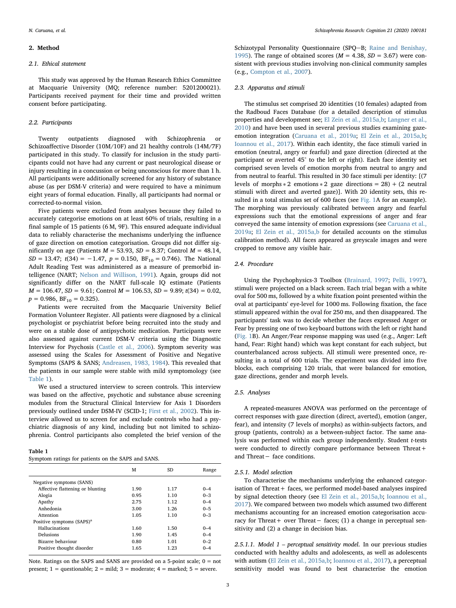#### 2. Method

#### 2.1. Ethical statement

This study was approved by the Human Research Ethics Committee at Macquarie University (MQ; reference number: 5201200021). Participants received payment for their time and provided written consent before participating.

#### 2.2. Participants

Twenty outpatients diagnosed with Schizophrenia or Schizoaffective Disorder (10M/10F) and 21 healthy controls (14M/7F) participated in this study. To classify for inclusion in the study participants could not have had any current or past neurological disease or injury resulting in a concussion or being unconscious for more than 1 h. All participants were additionally screened for any history of substance abuse (as per DSM-V criteria) and were required to have a minimum eight years of formal education. Finally, all participants had normal or corrected-to-normal vision.

Five patients were excluded from analyses because they failed to accurately categorise emotions on at least 60% of trials, resulting in a final sample of 15 patients (6 M, 9F). This ensured adequate individual data to reliably characterise the mechanisms underlying the influence of gaze direction on emotion categorisation. Groups did not differ significantly on age (Patients  $M = 53.93$ ,  $SD = 8.37$ ; Control  $M = 48.14$ ,  $SD = 13.47$ ; t(34) = -1.47, p = 0.150, BF<sub>10</sub> = 0.746). The National Adult Reading Test was administered as a measure of premorbid intelligence (NART; [Nelson and Willison, 1991\)](#page-6-33). Again, groups did not significantly differ on the NART full-scale IQ estimate (Patients  $M = 106.47$ ,  $SD = 9.61$ ; Control  $M = 106.53$ ,  $SD = 9.89$ ;  $t(34) = 0.02$ ,  $p = 0.986$ ,  $BF_{10} = 0.325$ ).

Patients were recruited from the Macquarie University Belief Formation Volunteer Register. All patients were diagnosed by a clinical psychologist or psychiatrist before being recruited into the study and were on a stable dose of antipsychotic medication. Participants were also assessed against current DSM-V criteria using the Diagnostic Interview for Psychosis [\(Castle et al., 2006](#page-5-9)). Symptom severity was assessed using the Scales for Assessment of Positive and Negative Symptoms (SAPS & SANS; [Andreasen, 1983, 1984](#page-5-10)). This revealed that the patients in our sample were stable with mild symptomology (see [Table 1](#page-2-0)).

We used a structured interview to screen controls. This interview was based on the affective, psychotic and substance abuse screening modules from the Structural Clinical Interview for Axis 1 Disorders previously outlined under DSM-IV (SCID-1; [First et al., 2002\)](#page-6-34). This interview allowed us to screen for and exclude controls who had a psychiatric diagnosis of any kind, including but not limited to schizophrenia. Control participants also completed the brief version of the

#### <span id="page-2-0"></span>Table 1

| Symptom ratings for patients on the SAPS and SANS. |  |  |  |  |  |  |  |
|----------------------------------------------------|--|--|--|--|--|--|--|
|----------------------------------------------------|--|--|--|--|--|--|--|

|                                       | м    | SD.  | Range   |
|---------------------------------------|------|------|---------|
| Negative symptoms (SANS)              |      |      |         |
| Affective flattening or blunting      | 1.90 | 1.17 | $0 - 4$ |
| Alogia                                | 0.95 | 1.10 | $0 - 3$ |
| Apathy                                | 2.75 | 1.12 | $0 - 4$ |
| Anhedonia                             | 3.00 | 1.26 | $0 - 5$ |
| Attention                             | 1.05 | 1.10 | $0 - 3$ |
| Positive symptoms (SAPS) <sup>a</sup> |      |      |         |
| Hallucinations                        | 1.60 | 1.50 | $0 - 4$ |
| Delusions                             | 1.90 | 1.45 | $0 - 4$ |
| Bizarre behaviour                     | 0.80 | 1.01 | $0 - 2$ |
| Positive thought disorder             | 1.65 | 1.23 | $0 - 4$ |

Note. Ratings on the SAPS and SANS are provided on a 5-point scale; 0 = not present;  $1 =$  questionable;  $2 =$  mild;  $3 =$  moderate;  $4 =$  marked;  $5 =$  severe.

Schizotypal Personality Questionnaire (SPQ-B; [Raine and Benishay,](#page-6-35) [1995\)](#page-6-35). The range of obtained scores ( $M = 4.38$ ,  $SD = 3.67$ ) were consistent with previous studies involving non-clinical community samples (e.g., [Compton et al., 2007\)](#page-5-11).

#### 2.3. Apparatus and stimuli

The stimulus set comprised 20 identities (10 females) adapted from the Radboud Faces Database (for a detailed description of stimulus properties and development see; [El Zein et al., 2015a,b](#page-6-32); [Langner et al.,](#page-6-36) [2010\)](#page-6-36) and have been used in several previous studies examining gazeemotion integration [\(Caruana et al., 2019a](#page-5-12); [El Zein et al., 2015a,b](#page-6-32); [Ioannou et al., 2017\)](#page-6-31). Within each identity, the face stimuli varied in emotion (neutral, angry or fearful) and gaze direction (directed at the participant or averted 45° to the left or right). Each face identity set comprised seven levels of emotion morphs from neutral to angry and from neutral to fearful. This resulted in 30 face stimuli per identity: [(7 levels of morphs  $* 2$  emotions  $* 2$  gaze directions = 28) + (2 neutral stimuli with direct and averted gaze)]. With 20 identity sets, this resulted in a total stimulus set of 600 faces (see [Fig. 1](#page-3-0)A for an example). The morphing was previously calibrated between angry and fearful expressions such that the emotional expressions of anger and fear conveyed the same intensity of emotion expressions (see [Caruana et al.,](#page-5-12) [2019a;](#page-5-12) [El Zein et al., 2015a,b](#page-6-32) for detailed accounts on the stimulus calibration method). All faces appeared as greyscale images and were cropped to remove any visible hair.

# 2.4. Procedure

Using the Psychophysics-3 Toolbox [\(Brainard, 1997](#page-5-13); [Pelli, 1997](#page-6-37)), stimuli were projected on a black screen. Each trial began with a white oval for 500 ms, followed by a white fixation point presented within the oval at participants' eye-level for 1000 ms. Following fixation, the face stimuli appeared within the oval for 250 ms, and then disappeared. The participants' task was to decide whether the faces expressed Anger or Fear by pressing one of two keyboard buttons with the left or right hand ([Fig. 1B](#page-3-0)). An Anger/Fear response mapping was used (e.g., Anger: Left hand, Fear: Right hand) which was kept constant for each subject, but counterbalanced across subjects. All stimuli were presented once, resulting in a total of 600 trials. The experiment was divided into five blocks, each comprising 120 trials, that were balanced for emotion, gaze directions, gender and morph levels.

# 2.5. Analyses

A repeated-measures ANOVA was performed on the percentage of correct responses with gaze direction (direct, averted), emotion (anger, fear), and intensity (7 levels of morphs) as within-subjects factors, and group (patients, controls) as a between-subject factor. The same analysis was performed within each group independently. Student t-tests were conducted to directly compare performance between Threat+ and Threat− face conditions.

#### 2.5.1. Model selection

To characterise the mechanisms underlying the enhanced categorisation of Threat + faces, we performed model-based analyses inspired by signal detection theory (see [El Zein et al., 2015a,b](#page-6-32); [Ioannou et al.,](#page-6-31) [2017\)](#page-6-31). We compared between two models which assumed two different mechanisms accounting for an increased emotion categorisation accuracy for Threat+ over Threat− faces; (1) a change in perceptual sensitivity and (2) a change in decision bias.

2.5.1.1. Model  $1$  – perceptual sensitivity model. In our previous studies conducted with healthy adults and adolescents, as well as adolescents with autism ([El Zein et al., 2015a,b](#page-6-32); [Ioannou et al., 2017\)](#page-6-31), a perceptual sensitivity model was found to best characterise the emotion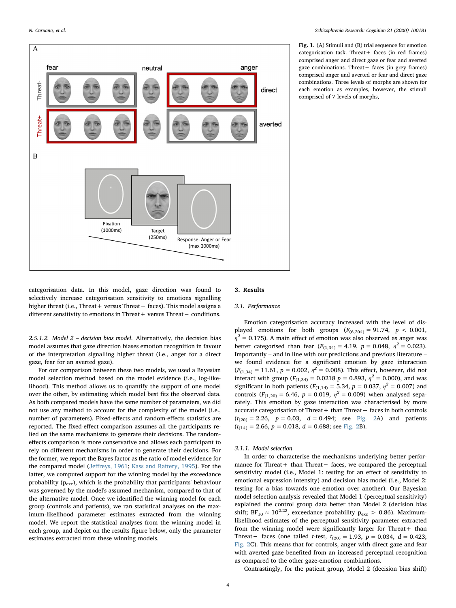<span id="page-3-0"></span>

Fig. 1. (A) Stimuli and (B) trial sequence for emotion  $categorisation task. Thread + faces (in red frames)$ comprised anger and direct gaze or fear and averted gaze combinations. Threat− faces (in grey frames) comprised anger and averted or fear and direct gaze combinations. Three levels of morphs are shown for each emotion as examples, however, the stimuli comprised of 7 levels of morphs,

categorisation data. In this model, gaze direction was found to selectively increase categorisation sensitivity to emotions signalling higher threat (i.e., Threat+ versus Threat− faces). This model assigns a different sensitivity to emotions in Threat+ versus Threat− conditions.

2.5.1.2. Model 2 – decision bias model. Alternatively, the decision bias model assumes that gaze direction biases emotion recognition in favour of the interpretation signalling higher threat (i.e., anger for a direct gaze, fear for an averted gaze).

For our comparison between these two models, we used a Bayesian model selection method based on the model evidence (i.e., log-likelihood). This method allows us to quantify the support of one model over the other, by estimating which model best fits the observed data. As both compared models have the same number of parameters, we did not use any method to account for the complexity of the model (i.e., number of parameters). Fixed-effects and random-effects statistics are reported. The fixed-effect comparison assumes all the participants relied on the same mechanisms to generate their decisions. The randomeffects comparison is more conservative and allows each participant to rely on different mechanisms in order to generate their decisions. For the former, we report the Bayes factor as the ratio of model evidence for the compared model (Jeff[reys, 1961](#page-6-38); [Kass and Raftery, 1995\)](#page-6-39). For the latter, we computed support for the winning model by the exceedance probability ( $p_{\text{exc}}$ ), which is the probability that participants' behaviour was governed by the model's assumed mechanism, compared to that of the alternative model. Once we identified the winning model for each group (controls and patients), we ran statistical analyses on the maximum-likelihood parameter estimates extracted from the winning model. We report the statistical analyses from the winning model in each group, and depict on the results figure below, only the parameter estimates extracted from these winning models.

# 3. Results

#### 3.1. Performance

Emotion categorisation accuracy increased with the level of displayed emotions for both groups  $(F_{(6,204)} = 91.74, p < 0.001,$  $\eta^2$  = 0.175). A main effect of emotion was also observed as anger was better categorised than fear  $(F_{(1,34)} = 4.19, p = 0.048, \eta^2 = 0.023)$ . Importantly – and in line with our predictions and previous literature – we found evidence for a significant emotion by gaze interaction  $(F_{(1,34)} = 11.61, p = 0.002, \eta^2 = 0.008)$ . This effect, however, did not interact with group ( $F_{(1,34)} = 0.0218$  p = 0.893,  $\eta^2 = 0.000$ ), and was significant in both patients ( $F_{(1,14)} = 5.34$ ,  $p = 0.037$ ,  $\eta^2 = 0.007$ ) and controls ( $F_{(1,20)} = 6.46$ ,  $p = 0.019$ ,  $\eta^2 = 0.009$ ) when analysed separately. This emotion by gaze interaction was characterised by more accurate categorisation of Threat+ than Threat− faces in both controls  $(t_{(20)} = 2.26, p = 0.03, d = 0.494;$  see [Fig. 2](#page-4-0)A) and patients  $(t<sub>(14)</sub> = 2.66, p = 0.018, d = 0.688;$  see [Fig. 2](#page-4-0)B).

# 3.1.1. Model selection

In order to characterise the mechanisms underlying better performance for Threat+ than Threat- faces, we compared the perceptual sensitivity model (i.e., Model 1: testing for an effect of sensitivity to emotional expression intensity) and decision bias model (i.e., Model 2: testing for a bias towards one emotion over another). Our Bayesian model selection analysis revealed that Model 1 (perceptual sensitivity) explained the control group data better than Model 2 (decision bias shift; BF<sub>10</sub>  $\approx 10^{2.22}$ , exceedance probability p<sub>exc</sub> > 0.86). Maximumlikelihood estimates of the perceptual sensitivity parameter extracted from the winning model were significantly larger for Threat + than Threat− faces (one tailed *t*-test,  $t_{(20)} = 1.93$ ,  $p = 0.034$ ,  $d = 0.423$ ; [Fig. 2C](#page-4-0)). This means that for controls, anger with direct gaze and fear with averted gaze benefited from an increased perceptual recognition as compared to the other gaze-emotion combinations.

Contrastingly, for the patient group, Model 2 (decision bias shift)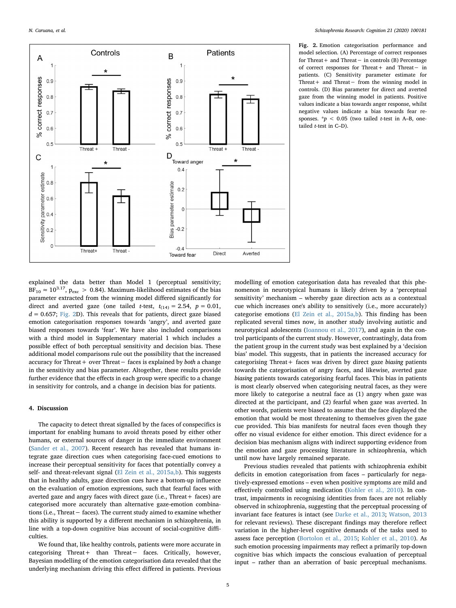<span id="page-4-0"></span>

Fig. 2. Emotion categorisation performance and model selection. (A) Percentage of correct responses for Threat+ and Threat− in controls (B) Percentage of correct responses for Threat+ and Threat− in patients. (C) Sensitivity parameter estimate for Threat+ and Threat− from the winning model in controls. (D) Bias parameter for direct and averted gaze from the winning model in patients. Positive values indicate a bias towards anger response, whilst negative values indicate a bias towards fear responses.  $* p < 0.05$  (two tailed *t*-test in A–B, onetailed  $t$ -test in C-D).

explained the data better than Model 1 (perceptual sensitivity;  $BF_{10} \approx 10^{3.17}$ ,  $p_{\text{exc}} > 0.84$ ). Maximum-likelihood estimates of the bias parameter extracted from the winning model differed significantly for direct and averted gaze (one tailed t-test,  $t_{(14)} = 2.54$ ,  $p = 0.01$ ,  $d = 0.657$ ; [Fig. 2](#page-4-0)D). This reveals that for patients, direct gaze biased emotion categorisation responses towards 'angry', and averted gaze biased responses towards 'fear'. We have also included comparisons with a third model in Supplementary material 1 which includes a possible effect of both perceptual sensitivity and decision bias. These additional model comparisons rule out the possibility that the increased accuracy for Threat+ over Threat− faces is explained by both a change in the sensitivity and bias parameter. Altogether, these results provide further evidence that the effects in each group were specific to a change in sensitivity for controls, and a change in decision bias for patients.

# 4. Discussion

The capacity to detect threat signalled by the faces of conspecifics is important for enabling humans to avoid threats posed by either other humans, or external sources of danger in the immediate environment ([Sander et al., 2007](#page-6-30)). Recent research has revealed that humans integrate gaze direction cues when categorising face-cued emotions to increase their perceptual sensitivity for faces that potentially convey a self- and threat-relevant signal [\(El Zein et al., 2015a,b\)](#page-6-32). This suggests that in healthy adults, gaze direction cues have a bottom-up influence on the evaluation of emotion expressions, such that fearful faces with averted gaze and angry faces with direct gaze (i.e., Threat + faces) are categorised more accurately than alternative gaze-emotion combinations (i.e., Threat− faces). The current study aimed to examine whether this ability is supported by a different mechanism in schizophrenia, in line with a top-down cognitive bias account of social-cognitive difficulties.

We found that, like healthy controls, patients were more accurate in categorising Threat+ than Threat− faces. Critically, however, Bayesian modelling of the emotion categorisation data revealed that the underlying mechanism driving this effect differed in patients. Previous modelling of emotion categorisation data has revealed that this phenomenon in neurotypical humans is likely driven by a 'perceptual sensitivity' mechanism – whereby gaze direction acts as a contextual cue which increases one's ability to sensitively (i.e., more accurately) categorise emotions ([El Zein et al., 2015a,b\)](#page-6-32). This finding has been replicated several times now, in another study involving autistic and neurotypical adolescents ([Ioannou et al., 2017\)](#page-6-31), and again in the control participants of the current study. However, contrastingly, data from the patient group in the current study was best explained by a 'decision bias' model. This suggests, that in patients the increased accuracy for categorising Threat + faces was driven by direct gaze biasing patients towards the categorisation of angry faces, and likewise, averted gaze biasing patients towards categorising fearful faces. This bias in patients is most clearly observed when categorising neutral faces, as they were more likely to categorise a neutral face as (1) angry when gaze was directed at the participant, and (2) fearful when gaze was averted. In other words, patients were biased to assume that the face displayed the emotion that would be most threatening to themselves given the gaze cue provided. This bias manifests for neutral faces even though they offer no visual evidence for either emotion. This direct evidence for a decision bias mechanism aligns with indirect supporting evidence from the emotion and gaze processing literature in schizophrenia, which until now have largely remained separate.

Previous studies revealed that patients with schizophrenia exhibit deficits in emotion categorisation from faces – particularly for negatively-expressed emotions – even when positive symptoms are mild and effectively controlled using medication [\(Kohler et al., 2010](#page-6-2)). In contrast, impairments in recognising identities from faces are not reliably observed in schizophrenia, suggesting that the perceptual processing of invariant face features is intact (see [Darke et al., 2013](#page-6-4); [Watson, 2013](#page-6-40) for relevant reviews). These discrepant findings may therefore reflect variation in the higher-level cognitive demands of the tasks used to assess face perception ([Bortolon et al., 2015](#page-5-14); [Kohler et al., 2010\)](#page-6-2). As such emotion processing impairments may reflect a primarily top-down cognitive bias which impacts the conscious evaluation of perceptual input – rather than an aberration of basic perceptual mechanisms.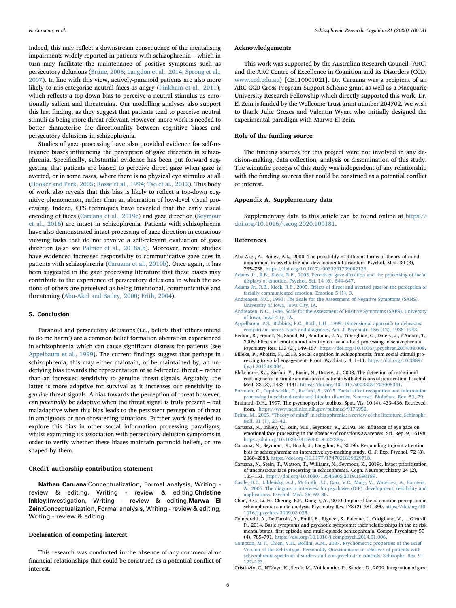Indeed, this may reflect a downstream consequence of the mentalising impairments widely reported in patients with schizophrenia – which in turn may facilitate the maintenance of positive symptoms such as persecutory delusions ([Brüne, 2005;](#page-5-5) [Langdon et al., 2014](#page-6-41); [Sprong et al.,](#page-6-42) [2007\)](#page-6-42). In line with this view, actively-paranoid patients are also more likely to mis-categorise neutral faces as angry ([Pinkham et al., 2011](#page-6-18)), which reflects a top-down bias to perceive a neutral stimulus as emotionally salient and threatening. Our modelling analyses also support this last finding, as they suggest that patients tend to perceive neutral stimuli as being more threat-relevant. However, more work is needed to better characterise the directionality between cognitive biases and persecutory delusions in schizophrenia.

Studies of gaze processing have also provided evidence for self-relevance biases influencing the perception of gaze direction in schizophrenia. Specifically, substantial evidence has been put forward suggesting that patients are biased to perceive direct gaze when gaze is averted, or in some cases, where there is no physical eye stimulus at all ([Hooker and Park, 2005](#page-6-23); [Rosse et al., 1994](#page-6-24); [Tso et al., 2012\)](#page-6-25). This body of work also reveals that this bias is likely to reflect a top-down cognitive phenomenon, rather than an aberration of low-level visual processing. Indeed, CFS techniques have revealed that the early visual encoding of faces ([Caruana et al., 2019c\)](#page-5-2) and gaze direction ([Seymour](#page-6-12) [et al., 2016\)](#page-6-12) are intact in schizophrenia. Patients with schizophrenia have also demonstrated intact processing of gaze direction in conscious viewing tasks that do not involve a self-relevant evaluation of gaze direction (also see [Palmer et al., 2018a,b](#page-6-43)). Moreover, recent studies have evidenced increased responsivity to communicative gaze cues in patients with schizophrenia ([Caruana et al., 2019b](#page-5-15)). Once again, it has been suggested in the gaze processing literature that these biases may contribute to the experience of persecutory delusions in which the actions of others are perceived as being intentional, communicative and threatening ([Abu-Akel and Bailey, 2000;](#page-5-16) [Frith, 2004\)](#page-6-44).

#### 5. Conclusion

Paranoid and persecutory delusions (i.e., beliefs that 'others intend to do me harm') are a common belief formation aberration experienced in schizophrenia which can cause significant distress for patients (see [Appelbaum et al., 1999\)](#page-5-17). The current findings suggest that perhaps in schizophrenia, this may either maintain, or be maintained by, an underlying bias towards the representation of self-directed threat – rather than an increased sensitivity to genuine threat signals. Arguably, the latter is more adaptive for survival as it increases our sensitivity to genuine threat signals. A bias towards the perception of threat however, can potentially be adaptive when the threat signal is truly present – but maladaptive when this bias leads to the persistent perception of threat in ambiguous or non-threatening situations. Further work is needed to explore this bias in other social information processing paradigms, whilst examining its association with persecutory delusion symptoms in order to verify whether these biases maintain paranoid beliefs, or are shaped by them.

# CRediT authorship contribution statement

Nathan Caruana:Conceptualization, Formal analysis, Writing review & editing, Writing - review & editing.Christine Inkley:Investigation, Writing - review & editing.Marwa El Zein:Conceptualization, Formal analysis, Writing - review & editing, Writing - review & editing.

# Declaration of competing interest

This research was conducted in the absence of any commercial or financial relationships that could be construed as a potential conflict of interest.

# Acknowledgements

This work was supported by the Australian Research Council (ARC) and the ARC Centre of Excellence in Cognition and its Disorders (CCD; [www.ccd.edu.au](http://www.ccd.edu.au)) [CE110001021]. Dr. Caruana was a recipient of an ARC CCD Cross Program Support Scheme grant as well as a Macquarie University Research Fellowship which directly supported this work. Dr. El Zein is funded by the Wellcome Trust grant number 204702. We wish to thank Julie Grezes and Valentin Wyart who initially designed the experimental paradigm with Marwa El Zein.

# Role of the funding source

The funding sources for this project were not involved in any decision-making, data collection, analysis or dissemination of this study. The scientific process of this study was independent of any relationship with the funding sources that could be construed as a potential conflict of interest.

#### Appendix A. Supplementary data

Supplementary data to this article can be found online at [https://](https://doi.org/10.1016/j.scog.2020.100181) [doi.org/10.1016/j.scog.2020.100181.](https://doi.org/10.1016/j.scog.2020.100181)

#### References

- <span id="page-5-16"></span>Abu-Akel, A., Bailey, A.L., 2000. The possibility of different forms of theory of mind impairment in psychiatric and developmental disorders. Psychol. Med. 30 (3), 735–738. [https://doi.org/10.1017/s0033291799002123.](https://doi.org/10.1017/s0033291799002123)
- <span id="page-5-7"></span>[Adams Jr., R.B., Kleck, R.E., 2003. Perceived gaze direction and the processing of facial](http://refhub.elsevier.com/S2215-0013(20)30005-6/rf0010) [displays of emotion. Psychol. Sci. 14 \(6\), 644](http://refhub.elsevier.com/S2215-0013(20)30005-6/rf0010)–647.
- Adams Jr., R.B., Kleck, R.E., 2005. Eff[ects of direct and averted gaze on the perception of](http://refhub.elsevier.com/S2215-0013(20)30005-6/rf0015) [facially communicated emotion. Emotion 5 \(1\), 3.](http://refhub.elsevier.com/S2215-0013(20)30005-6/rf0015)
- <span id="page-5-10"></span>[Andreasen, N.C., 1983. The Scale for the Assessment of Negative Symptoms \(SANS\).](http://refhub.elsevier.com/S2215-0013(20)30005-6/rf0020) [University of Iowa, Iowa City, IA.](http://refhub.elsevier.com/S2215-0013(20)30005-6/rf0020)
- [Andreasen, N.C., 1984. Scale for the Assessment of Positive Symptoms \(SAPS\). University](http://refhub.elsevier.com/S2215-0013(20)30005-6/rf0025) [of Iowa, Iowa City, IA.](http://refhub.elsevier.com/S2215-0013(20)30005-6/rf0025)
- <span id="page-5-17"></span>[Appelbaum, P.S., Robbins, P.C., Roth, L.H., 1999. Dimensional approach to delusions:](http://refhub.elsevier.com/S2215-0013(20)30005-6/rf0030) [comparison across types and diagnoses. Am. J. Psychiatr. 156 \(12\), 1938](http://refhub.elsevier.com/S2215-0013(20)30005-6/rf0030)–1943.
- <span id="page-5-4"></span>Bediou, B., Franck, N., Saoud, M., Baudouin, J.-Y., Tiberghien, G., Daléry, J., d'Amato, T., 2005. Effects of emotion and identity on facial affect processing in schizophrenia. Psychiatry Res. 133 (2), 149–157. <https://doi.org/10.1016/j.psychres.2004.08.008>.
- <span id="page-5-0"></span>Billeke, P., Aboitiz, F., 2013. Social cognition in schizophrenia: from social stimuli processing to social engagement. Front. Psychiatry 4, 1–11. [https://doi.org/10.3389/](https://doi.org/10.3389/fpsyt.2013.00004) [fpsyt.2013.00004](https://doi.org/10.3389/fpsyt.2013.00004).
- <span id="page-5-3"></span>Blakemore, S.J., Sarfati, Y., Bazin, N., Decety, J., 2003. The detection of intentional contingencies in simple animations in patients with delusions of persecution. Psychol. Med. 33 (8), 1433–1441. [https://doi.org/10.1017/s0033291703008341.](https://doi.org/10.1017/s0033291703008341)
- <span id="page-5-14"></span>[Bortolon, C., Capdevielle, D., Ra](http://refhub.elsevier.com/S2215-0013(20)30005-6/rf0050)ffard, S., 2015. Facial affect recognition and information [processing in schizophrenia and bipolar disorder. Neurosci. Biobehav. Rev. 53, 79.](http://refhub.elsevier.com/S2215-0013(20)30005-6/rf0050)
- <span id="page-5-13"></span>Brainard, D.H., 1997. The psychophysics toolbox. Spat. Vis. 10 (4), 433–436. Retrieved from. [https://www.ncbi.nlm.nih.gov/pubmed/9176952.](https://www.ncbi.nlm.nih.gov/pubmed/9176952)
- <span id="page-5-5"></span>Brüne, M., 2005. "Theory of mind" [in schizophrenia: a review of the literature. Schizophr.](http://refhub.elsevier.com/S2215-0013(20)30005-6/rf0060) [Bull. 31 \(1\), 21](http://refhub.elsevier.com/S2215-0013(20)30005-6/rf0060)–42.
- <span id="page-5-12"></span>Caruana, N., Inkley, C., Zein, M.E., Seymour, K., 2019a. No influence of eye gaze on emotional face processing in the absence of conscious awareness. Sci. Rep. 9, 16198. <https://doi.org/10.1038/s41598-019-52728-y>.
- <span id="page-5-15"></span>Caruana, N., Seymour, K., Brock, J., Langdon, R., 2019b. Responding to joint attention bids in schizophrenia: an interactive eye-tracking study. Q. J. Exp. Psychol. 72 (8), 2068–2083. [https://doi.org/10.1177/1747021819829718.](https://doi.org/10.1177/1747021819829718)
- <span id="page-5-2"></span>Caruana, N., Stein, T., Watson, T., Williams, N., Seymour, K., 2019c. Intact prioritisation of unconscious face processing in schizophrenia. Cogn. Neuropsychiatry 24 (2), 135–151. [https://doi.org/10.1080/13546805.2019.1590189.](https://doi.org/10.1080/13546805.2019.1590189)
- <span id="page-5-9"></span>[Castle, D.J., Jablensky, A.J., McGrath, J.J., Carr, V.C., Morg, V., Waterreu, A., Farmers,](http://refhub.elsevier.com/S2215-0013(20)30005-6/rf0080) [A., 2006. The diagnostic interview for psychoses \(DIP\): development, reliability and](http://refhub.elsevier.com/S2215-0013(20)30005-6/rf0080) [applications. Psychol. Med. 36, 69](http://refhub.elsevier.com/S2215-0013(20)30005-6/rf0080)–80.
- <span id="page-5-1"></span>Chan, R.C., Li, H., Cheung, E.F., Gong, Q.Y., 2010. Impaired facial emotion perception in schizophrenia: a meta-analysis. Psychiatry Res. 178 (2), 381–390. [https://doi.org/10.](https://doi.org/10.1016/j.psychres.2009.03.035) [1016/j.psychres.2009.03.035.](https://doi.org/10.1016/j.psychres.2009.03.035)
- <span id="page-5-6"></span>Comparelli, A., De Carolis, A., Emili, E., Rigucci, S., Falcone, I., Corigliano, V., ... Girardi, P., 2014. Basic symptoms and psychotic symptoms: their relationships in the at risk mental states, first episode and multi-episode schizophrenia. Compr. Psychiatry 55 (4), 785–791. <https://doi.org/10.1016/j.comppsych.2014.01.006>.
- <span id="page-5-11"></span>[Compton, M.T., Chien, V.H., Bollini, A.M., 2007. Psychometric properties of the Brief](http://refhub.elsevier.com/S2215-0013(20)30005-6/rf0095) [Version of the Schizotypal Personality Questionnaire in relatives of patients with](http://refhub.elsevier.com/S2215-0013(20)30005-6/rf0095) [schizophrenia-spectrum disorders and non-psychiatric controls. Schizophr. Res. 91,](http://refhub.elsevier.com/S2215-0013(20)30005-6/rf0095) 122–[123](http://refhub.elsevier.com/S2215-0013(20)30005-6/rf0095).
- <span id="page-5-8"></span>Cristinzio, C., N'Diaye, K., Seeck, M., Vuilleumier, P., Sander, D., 2009. Integration of gaze